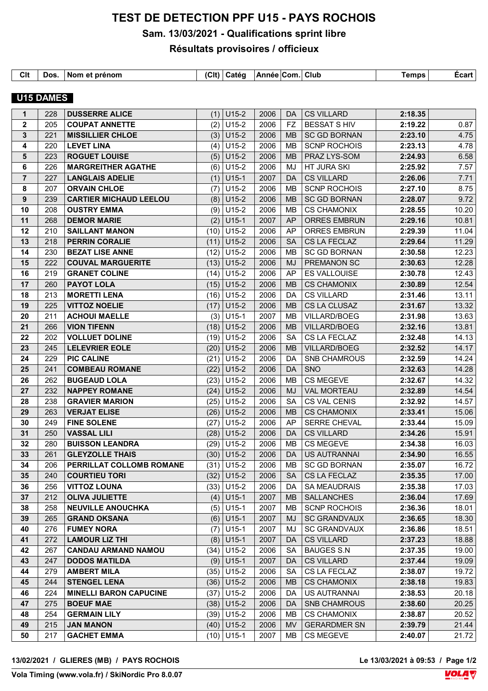## **TEST DE DETECTION PPF U15 - PAYS ROCHOIS**

## **Sam. 13/03/2021 - Qualifications sprint libre**

## **Résultats provisoires / officieux**

| Clt | Dos.      | Nom et prénom         | (C <sub>l</sub> ) | ∣ Catéq | Année Com. Club |           |                   | <b>Temps</b> | <b>Ecart</b> |
|-----|-----------|-----------------------|-------------------|---------|-----------------|-----------|-------------------|--------------|--------------|
|     | U15 DAMES |                       |                   |         |                 |           |                   |              |              |
|     | 228       | <b>DUSSERRE ALICE</b> | (1)               | $U15-2$ | 2006            | <b>DA</b> | <b>CS VILLARD</b> | 2:18.35      |              |

|                  | 22 U | DOODLINNE WEIGH               |      | $(1)$   $010-Z$   | <u>LUUU</u> |           | $U \cap V \cup V \cup W$ | 2.10.00 |       |
|------------------|------|-------------------------------|------|-------------------|-------------|-----------|--------------------------|---------|-------|
| 2                | 205  | <b>COUPAT ANNETTE</b>         | (2)  | $U15-2$           | 2006        | FZ.       | <b>BESSAT S HIV</b>      | 2:19.22 | 0.87  |
| 3                | 221  | <b>MISSILLIER CHLOE</b>       | (3)  | $U15-2$           | 2006        | MB.       | <b>SC GD BORNAN</b>      | 2:23.10 | 4.75  |
| 4                | 220  | <b>LEVET LINA</b>             | (4)  | $U15-2$           | 2006        | MB.       | <b>SCNP ROCHOIS</b>      | 2:23.13 | 4.78  |
| 5                | 223  | <b>ROGUET LOUISE</b>          | (5)  | $ U15-2 $         | 2006        | MB.       | PRAZ LYS-SOM             | 2:24.93 | 6.58  |
| 6                | 226  | <b>MARGREITHER AGATHE</b>     | (6)  | $U15-2$           | 2006        | MJ        | HT JURA SKI              | 2:25.92 | 7.57  |
| $\overline{7}$   | 227  | <b>LANGLAIS ADELIE</b>        |      | $(1)$ U15-1       | 2007        | <b>DA</b> | <b>CS VILLARD</b>        | 2:26.06 | 7.71  |
| 8                | 207  | <b>ORVAIN CHLOE</b>           | (7)  | $U15-2$           | 2006        | <b>MB</b> | <b>SCNP ROCHOIS</b>      | 2:27.10 | 8.75  |
| $\boldsymbol{9}$ | 239  | <b>CARTIER MICHAUD LEELOU</b> | (8)  | $U15-2$           | 2006        | <b>MB</b> | <b>SC GD BORNAN</b>      | 2:28.07 | 9.72  |
| 10               | 208  | <b>OUSTRY EMMA</b>            | (9)  | $U15-2$           | 2006        | <b>MB</b> | <b>CS CHAMONIX</b>       | 2:28.55 | 10.20 |
| 11               | 268  | <b>DEMOR MARIE</b>            |      | $(2)$ U15-1       | 2007        | AP.       | <b>ORRES EMBRUN</b>      | 2:29.16 | 10.81 |
| 12               | 210  | <b>SAILLANT MANON</b>         |      | $(10)$ U15-2      | 2006        | AP        | ORRES EMBRUN             | 2:29.39 | 11.04 |
| 13               | 218  | <b>PERRIN CORALIE</b>         |      | $(11)$ U15-2      | 2006        | <b>SA</b> | CS LA FECLAZ             | 2:29.64 | 11.29 |
| 14               | 230  | <b>BEZAT LISE ANNE</b>        |      | $(12)$ U15-2      | 2006        | <b>MB</b> | <b>SC GD BORNAN</b>      | 2:30.58 | 12.23 |
| 15               | 222  | <b>COUVAL MARGUERITE</b>      |      | $(13)$ U15-2      | 2006        | MJ        | PREMANON SC              | 2:30.63 | 12.28 |
| 16               | 219  | <b>GRANET COLINE</b>          | (14) | $U15-2$           | 2006        | AP        | ES VALLOUISE             | 2:30.78 | 12.43 |
| 17               | 260  | <b>PAYOT LOLA</b>             |      | $(15)$ U15-2      | 2006        | <b>MB</b> | <b>CS CHAMONIX</b>       | 2:30.89 | 12.54 |
| 18               | 213  | <b>MORETTI LENA</b>           |      | $(16)$ U15-2      | 2006        | DA        | <b>CS VILLARD</b>        | 2:31.46 | 13.11 |
| 19               | 225  | <b>VITTOZ NOELIE</b>          |      | $(17)$ U15-2      | 2006        | <b>MB</b> | CS LA CLUSAZ             | 2:31.67 | 13.32 |
| 20               | 211  | <b>ACHOUI MAELLE</b>          |      | $(3)$ U15-1       | 2007        | <b>MB</b> | <b>VILLARD/BOEG</b>      | 2:31.98 | 13.63 |
| 21               | 266  | <b>VION TIFENN</b>            |      | $(18)$ U15-2      | 2006        | MB.       | VILLARD/BOEG             | 2:32.16 | 13.81 |
| 22               | 202  | <b>VOLLUET DOLINE</b>         | (19) | $U15-2$           | 2006        | SA        | CS LA FECLAZ             | 2:32.48 | 14.13 |
| 23               | 245  | <b>LELEVRIER EOLE</b>         |      | $(20)$ U15-2      | 2006        | MB.       | <b>VILLARD/BOEG</b>      | 2:32.52 | 14.17 |
| 24               | 229  | <b>PIC CALINE</b>             |      | $(21)$ U15-2      | 2006        | DA.       | SNB CHAMROUS             | 2:32.59 | 14.24 |
| 25               | 241  | <b>COMBEAU ROMANE</b>         | (22) | U <sub>15-2</sub> | 2006        | DA        | <b>SNO</b>               | 2:32.63 | 14.28 |
| 26               | 262  | <b>BUGEAUD LOLA</b>           |      | $(23)$ U15-2      | 2006        | MВ        | CS MEGEVE                | 2:32.67 | 14.32 |
| 27               | 232  | <b>NAPPEY ROMANE</b>          |      | $(24)$ U15-2      | 2006        | MJ        | <b>VAL MORTEAU</b>       | 2:32.89 | 14.54 |
| 28               | 238  | <b>GRAVIER MARION</b>         | (25) | $U15-2$           | 2006        | <b>SA</b> | CS VAL CENIS             | 2:32.92 | 14.57 |
| 29               | 263  | <b>VERJAT ELISE</b>           |      | $(26)$ U15-2      | 2006        | MB        | <b>CS CHAMONIX</b>       | 2:33.41 | 15.06 |
| 30               | 249  | <b>FINE SOLENE</b>            | (27) | $U15-2$           | 2006        | AP.       | SERRE CHEVAL             | 2:33.44 | 15.09 |
| 31               | 250  | <b>VASSAL LILI</b>            |      | $(28)$ U15-2      | 2006        | DA        | <b>CS VILLARD</b>        | 2:34.26 | 15.91 |
| 32               | 280  | <b>BUISSON LEANDRA</b>        |      | $(29)$ U15-2      | 2006        | MB        | CS MEGEVE                | 2:34.38 | 16.03 |
| 33               | 261  | <b>GLEYZOLLE THAIS</b>        |      | $(30)$ U15-2      | 2006        | DA.       | US AUTRANNAI             | 2:34.90 | 16.55 |
| 34               | 206  | PERRILLAT COLLOMB ROMANE      |      | $(31)$ U15-2      | 2006        | MВ        | <b>SC GD BORNAN</b>      | 2:35.07 | 16.72 |
| 35               | 240  | <b>COURTIEU TORI</b>          |      | $(32)$ U15-2      | 2006        | <b>SA</b> | CS LA FECLAZ             | 2:35.35 | 17.00 |
| 36               | 256  | <b>VITTOZ LOUNA</b>           |      | $(33)$ U15-2      | 2006        | DA.       | <b>SA MEAUDRAIS</b>      | 2:35.38 | 17.03 |
| 37               | 212  | <b>OLIVA JULIETTE</b>         | (4)  | $U15-1$           | 2007        | <b>MB</b> | <b>SALLANCHES</b>        | 2:36.04 | 17.69 |
| 38               | 258  | <b>NEUVILLE ANOUCHKA</b>      | (5)  | $U15-1$           | 2007        | MB        | <b>SCNP ROCHOIS</b>      | 2:36.36 | 18.01 |
| 39               | 265  | <b>GRAND OKSANA</b>           | (6)  | $U15-1$           | 2007        | MJ        | <b>SC GRANDVAUX</b>      | 2:36.65 | 18.30 |
| 40               | 276  | <b>FUMEY NORA</b>             | (7)  | $U15-1$           | 2007        | MJ        | <b>SC GRANDVAUX</b>      | 2:36.86 | 18.51 |
| 41               | 272  | <b>LAMOUR LIZ THI</b>         | (8)  | $U15-1$           | 2007        | DA        | <b>CS VILLARD</b>        | 2:37.23 | 18.88 |
| 42               | 267  | <b>CANDAU ARMAND NAMOU</b>    | (34) | $U15-2$           | 2006        | <b>SA</b> | <b>BAUGES S.N</b>        | 2:37.35 | 19.00 |
| 43               | 247  | <b>DODOS MATILDA</b>          | (9)  | $U15-1$           | 2007        | DA        | <b>CS VILLARD</b>        | 2:37.44 | 19.09 |
| 44               | 279  | <b>AMBERT MILA</b>            | (35) | $U15-2$           | 2006        | <b>SA</b> | CS LA FECLAZ             | 2:38.07 | 19.72 |
| 45               | 244  | <b>STENGEL LENA</b>           | (36) | $U15-2$           | 2006        | <b>MB</b> | <b>CS CHAMONIX</b>       | 2:38.18 | 19.83 |
| 46               | 224  | <b>MINELLI BARON CAPUCINE</b> | (37) | $U15-2$           | 2006        | DA        | US AUTRANNAI             | 2:38.53 | 20.18 |
| 47               | 275  | <b>BOEUF MAE</b>              | (38) | $U15-2$           | 2006        | DA        | <b>SNB CHAMROUS</b>      | 2:38.60 | 20.25 |
| 48               | 254  | <b>GERMAIN LILY</b>           | (39) | $U15-2$           | 2006        | МB        | <b>CS CHAMONIX</b>       | 2:38.87 | 20.52 |
| 49               | 215  | <b>JAN MANON</b>              |      | $(40)$ U15-2      | 2006        | <b>MV</b> | <b>GERARDMER SN</b>      | 2:39.79 | 21.44 |
| 50               | 217  | <b>GACHET EMMA</b>            |      | $(10)$ U15-1      | 2007        | MB        | CS MEGEVE                | 2:40.07 | 21.72 |
|                  |      |                               |      |                   |             |           |                          |         |       |

Le 13/03/2021 à 09:53 / Page 1/2<br>**VOLA** 

**Vola Timing (www.vola.fr) / SkiNordic Pro 8.0.07**